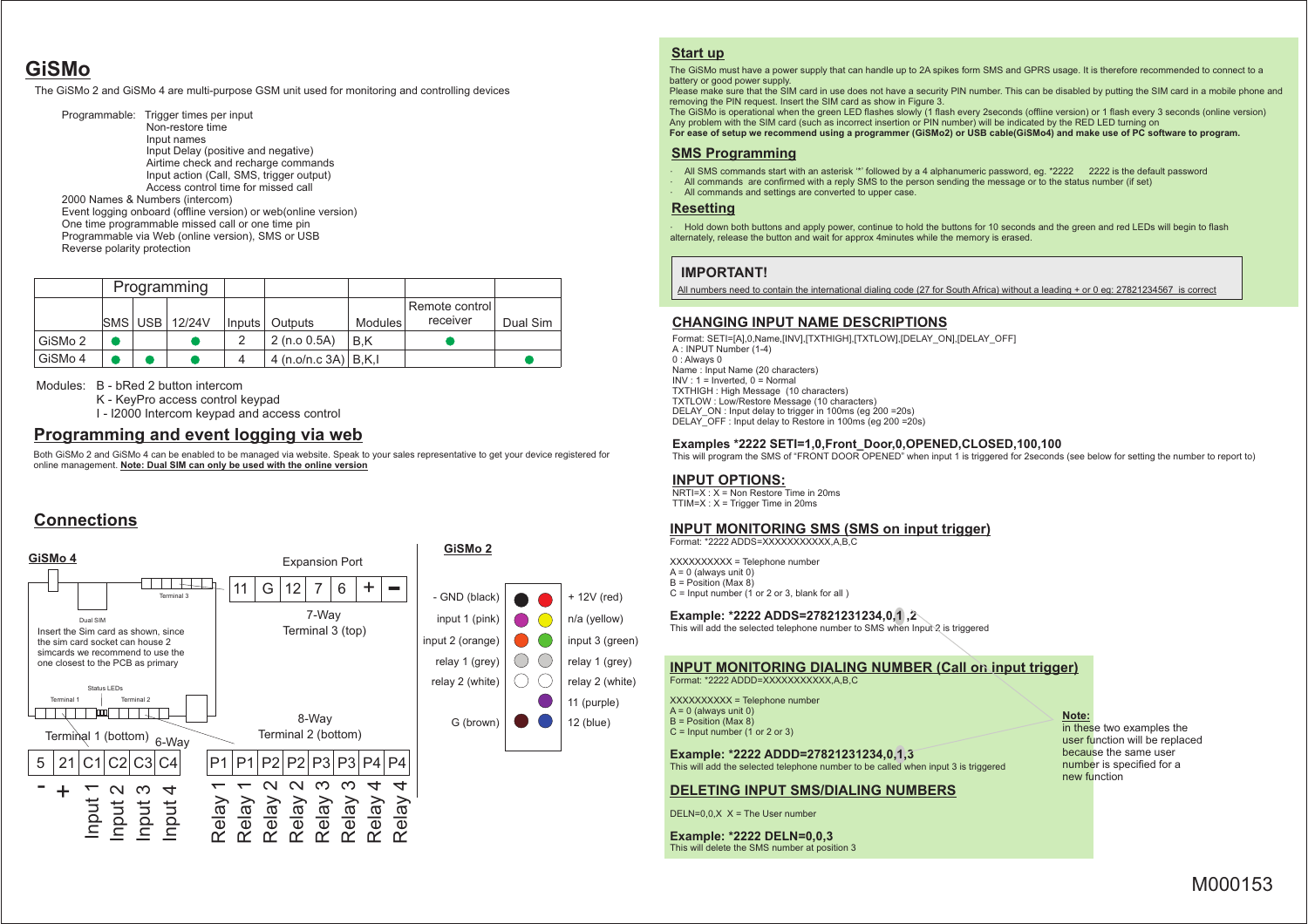# **GiSMo**

The GiSMo 2 and GiSMo 4 are multi-purpose GSM unit used for monitoring and controlling devices

Programmable: Trigger times per input Non-restore timeInput names Input Delay (positive and negative) Airtime check and recharge commands Input action (Call, SMS, trigger output)Access control time for missed call2000 Names & Numbers (intercom) Event logging onboard (offline version) or web(online version)One time programmable missed call or one time pin Programmable via Web (online version), SMS or USBReverse polarity protection

|         | Programming |  |                       |   |                           |         |                |          |
|---------|-------------|--|-----------------------|---|---------------------------|---------|----------------|----------|
|         |             |  |                       |   |                           |         | Remote control |          |
|         |             |  | <b>SMS USB 12/24V</b> |   | Inputs   Outputs          | Modules | receiver       | Dual Sim |
| GiSMo 2 |             |  |                       |   | 2(n.o 0.5A)               | B.K     |                |          |
| GiSMo 4 |             |  |                       | 4 | 4 (n.o/n.c $3A$ )   B,K,I |         |                |          |

Modules: B - bRed 2 button intercom

K - KeyPro access control keypad

I - I2000 Intercom keypad and access control

### **Programming and event logging via web**

 Both GiSMo 2 and GiSMo 4 can be enabled to be managed via website. Speak to your sales representative to get your device registered foronline management. **Note: Dual SIM can only be used with the online version**

## **Connections**



#### **Start up**

 The GiSMo must have a power supply that can handle up to 2A spikes form SMS and GPRS usage. It is therefore recommended to connect to abattery or good power supply.

 Please make sure that the SIM card in use does not have a security PIN number. This can be disabled by putting the SIM card in a mobile phone andremoving the PIN request. Insert the SIM card as show in Figure 3.

 The GiSMo is operational when the green LED flashes slowly (1 flash every 2seconds (offline version) or 1 flash every 3 seconds (online version)Any problem with the SIM card (such as incorrect insertion or PIN number) will be indicated by the RED LED turning on**For ease of setup we recommend using a programmer (GiSMo2) or USB cable(GiSMo4) and make use of PC software to program.**

#### **SMS Programming**

- All SMS commands start with an asterisk '\*' followed by a 4 alphanumeric password, eg. \*2222 2222 is the default password
- All commands are confirmed with a reply SMS to the person sending the message or to the status number (if set)
- All commands and settings are converted to upper case.

#### **Resetting**

 Hold down both buttons and apply power, continue to hold the buttons for 10 seconds and the green and red LEDs will begin to flashalternately, release the button and wait for approx 4minutes while the memory is erased.

#### **IMPORTANT!**

All numbers need to contain the international dialing code (27 for South Africa) without a leading + or 0 eg: 27821234567 is correct

## **CHANGING INPUT NAME DESCRIPTIONS**

Format: SETI=[A],0,Name,[INV],[TXTHIGH],[TXTLOW],[DELAY\_ON],[DELAY\_OFF]A : INPUT Number (1-4)0 : Always 0 Name : Input Name (20 characters) $INV : 1 = Inverted. 0 = Normal$  TXTHIGH : High Message (10 characters) TXTLOW : Low/Restore Message (10 characters) DELAY\_ON : Input delay to trigger in 100ms (eg 200 =20s)DELAY\_OFF : Input delay to Restore in 100ms (eg 200 =20s)

#### **Examples \*2222 SETI=1,0,Front\_Door,0,OPENED,CLOSED,100,100**

This will program the SMS of "FRONT DOOR OPENED" when input 1 is triggered for 2seconds (see below for setting the number to report to)

#### **INPUT OPTIONS:**

+ 12V (red)n/a (yellow)

11 (purple)

 NRTI=X : X = Non Restore Time in 20msTTIM=X : X = Trigger Time in 20ms

#### **INPUT MONITORING SMS (SMS on input trigger)**

Format: \*2222 ADDS=XXXXXXXXXXX,A,B,C

XXXXXXXXXX = Telephone number $A = 0$  (always unit 0) B = Position (Max 8)C = Input number (1 or 2 or 3, blank for all )

#### **Example: \*2222 ADDS=27821231234,0,1 ,2**

This will add the selected telephone number to SMS when Input 2 is triggered

#### **INPUT MONITORING DIALING NUMBER (Call on input trigger)**Format: \*2222 ADDD=XXXXXXXXXXX, A, B, C

XXXXXXXXXX = Telephone number $A = 0$  (always unit 0) B = Position (Max 8)C = Input number (1 or 2 or 3)

**Example: \*2222 ADDD=27821231234,0,1,3**This will add the selected telephone number to be called when input 3 is triggered

#### **DELETING INPUT SMS/DIALING NUMBERS**

DELN= $0.0$ .X  $X =$ The User number

**Example: \*2222 DELN=0,0,3**This will delete the SMS number at position 3

#### **Note:**

in these two examples the user function will be replaced because the same user number is specified for anew function